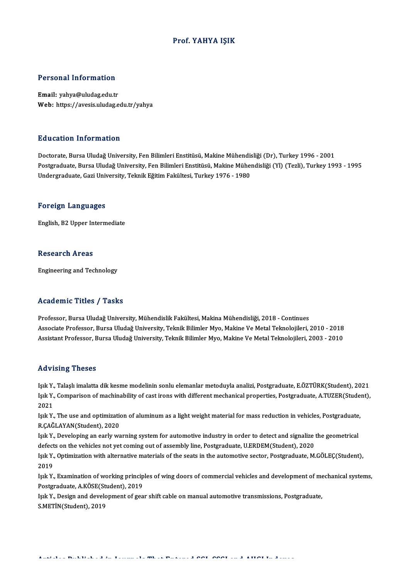## Prof. YAHYA IŞIK

### Personal Information

Email: yahya@uludag.edu.tr Web: https://avesis.uludag.edu.tr/yahya

#### Education Information

Doctorate, Bursa Uludağ University, Fen Bilimleri Enstitüsü, Makine Mühendisliği (Dr), Turkey 1996 - 2001 Postgraduate, Bursa Uludağ University, Fen Bilimleri Enstitüsü, Makine Mühendisliği (Yl) (Tezli), Turkey 1993 - 1995 Undergraduate, Gazi University, Teknik Eğitim Fakültesi, Turkey 1976 - 1980

#### Foreign Languages

English,B2Upper Intermediate

### Research Areas

Engineering and Technology

#### Academic Titles / Tasks

Professor, Bursa Uludağ University, Mühendislik Fakültesi, Makina Mühendisliği, 2018 - Continues Associate Professor, Bursa Uludağ University, Teknik Bilimler Myo, Makine Ve Metal Teknolojileri, 2010 - 2018 Assistant Professor, Bursa Uludağ University, Teknik Bilimler Myo, Makine Ve Metal Teknolojileri, 2003 - 2010

#### Advising Theses

Advising Theses<br>Işık Y., Talaşlı imalatta dik kesme modelinin sonlu elemanlar metoduyla analizi, Postgraduate, E.ÖZTÜRK(Student), 2021<br>Isık Y., Comparison of mashinability of gat inana uyth different mashanisel prepertise. Isa Violing Tireses<br>Işık Y., Talaşlı imalatta dik kesme modelinin sonlu elemanlar metoduyla analizi, Postgraduate, E.ÖZTÜRK(Student), 2021<br>Işık Y., Comparison of machinability of cast irons with different mechanical proper Işık Y<br>Işık Y<br>2021<br>Isık Y Işık Y., Comparison of machinability of cast irons with different mechanical properties, Postgraduate, A.TUZER(Stude<br>2021<br>Işık Y., The use and optimization of aluminum as a light weight material for mass reduction in vehic

2021<br>Işık Y., The use and optimization of aluminum as a light weight material for mass reduction in vehicles, Postgraduate,<br>R.ÇAĞLAYAN(Student), 2020 Işık Y., The use and optimization of aluminum as a light weight material for mass reduction in vehicles, Postgraduate<br>R.ÇAĞLAYAN(Student), 2020<br>Işık Y., Developing an early warning system for automotive industry in order t

R.ÇAĞLAYAN(Student), 2020<br>Işık Y., Developing an early warning system for automotive industry in order to detect and signalize<br>defects on the vehicles not yet coming out of assembly line, Postgraduate, U.ERDEM(Student), 20 Işık Y., Developing an early warning system for automotive industry in order to detect and signalize the geometrical<br>defects on the vehicles not yet coming out of assembly line, Postgraduate, U.ERDEM(Student), 2020<br>Işık Y.

defects on the vehicles not yet coming out of assembly line, Postgraduate, U.ERDEM(Student), 2020<br>Işık Y., Optimization with alternative materials of the seats in the automotive sector, Postgraduate, M.GÖLEÇ(Student),<br>2019 Işık Y., Optimization with alternative materials of the seats in the automotive sector, Postgraduate, M.GÖLEÇ(Student),<br>2019<br>Işık Y., Examination of working principles of wing doors of commercial vehicles and development o

2019<br>Işık Y., Examination of working princip<br>Postgraduate, A.KÖSE(Student), 2019<br>Isık Y., Design and davelonment of gea Işık Y., Examination of working principles of wing doors of commercial vehicles and development of me<br>Postgraduate, A.KÖSE(Student), 2019<br>Işık Y., Design and development of gear shift cable on manual automotive transmissio

Postgraduate, A.KÖSE(Student), 2019<br>Işık Y., Design and development of gear shift cable on manual automotive transmissions, Postgraduate,<br>S.METİN(Student), 2019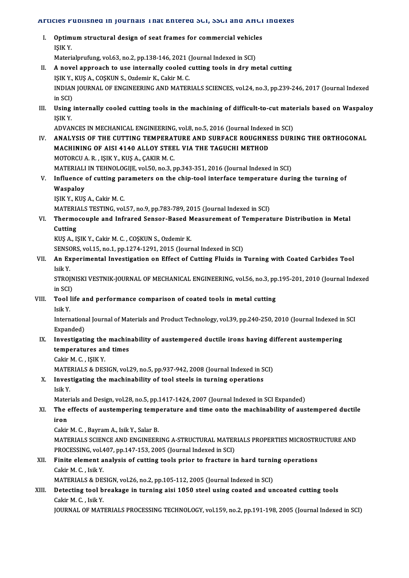# Articles Published in Journals That Entered SCI, SSCI and AHCI Indexes

| Articles Published in Journals That Entered SCI, SSCI and AHCI Indexes |                                                                                                                   |
|------------------------------------------------------------------------|-------------------------------------------------------------------------------------------------------------------|
| Ι.                                                                     | Optimum structural design of seat frames for commercial vehicles<br>IŞIK Y                                        |
|                                                                        | Materialprufung, vol.63, no.2, pp.138-146, 2021 (Journal Indexed in SCI)                                          |
| П.                                                                     | A novel approach to use internally cooled cutting tools in dry metal cutting                                      |
|                                                                        | IŞIK Y., KUŞ A., COŞKUN S., Ozdemir K., Cakir M. C.                                                               |
|                                                                        | INDIAN JOURNAL OF ENGINEERING AND MATERIALS SCIENCES, vol.24, no.3, pp.239-246, 2017 (Journal Indexed             |
|                                                                        | in SCI)                                                                                                           |
| III.                                                                   | Using internally cooled cutting tools in the machining of difficult-to-cut materials based on Waspaloy<br>IŞIK Y. |
|                                                                        | ADVANCES IN MECHANICAL ENGINEERING, vol.8, no.5, 2016 (Journal Indexed in SCI)                                    |
| IV.                                                                    | ANALYSIS OF THE CUTTING TEMPERATURE AND SURFACE ROUGHNESS DURING THE ORTHOGONAL                                   |
|                                                                        | MACHINING OF AISI 4140 ALLOY STEEL VIA THE TAGUCHI METHOD                                                         |
|                                                                        | MOTORCU A. R., IŞIK Y., KUŞ A., ÇAKIR M. C.                                                                       |
|                                                                        | MATERIALI IN TEHNOLOGIJE, vol.50, no.3, pp.343-351, 2016 (Journal Indexed in SCI)                                 |
| V.                                                                     | Influence of cutting parameters on the chip-tool interface temperature during the turning of                      |
|                                                                        | Waspaloy                                                                                                          |
|                                                                        | IŞIK Y., KUŞ A., Cakir M. C.                                                                                      |
|                                                                        | MATERIALS TESTING, vol.57, no.9, pp.783-789, 2015 (Journal Indexed in SCI)                                        |
| VI.                                                                    | Thermocouple and Infrared Sensor-Based Measurement of Temperature Distribution in Metal                           |
|                                                                        | Cutting                                                                                                           |
|                                                                        | KUŞ A., IŞIK Y., Cakir M. C., COŞKUN S., Ozdemir K.                                                               |
|                                                                        | SENSORS, vol.15, no.1, pp.1274-1291, 2015 (Journal Indexed in SCI)                                                |
| VII.                                                                   | An Experimental Investigation on Effect of Cutting Fluids in Turning with Coated Carbides Tool                    |
|                                                                        | Isik Y                                                                                                            |
|                                                                        | STROJNISKI VESTNIK-JOURNAL OF MECHANICAL ENGINEERING, vol.56, no.3, pp.195-201, 2010 (Journal Indexed             |
|                                                                        | in SCI)                                                                                                           |
| VIII.                                                                  | Tool life and performance comparison of coated tools in metal cutting<br>Isik Y.                                  |
|                                                                        | International Journal of Materials and Product Technology, vol.39, pp.240-250, 2010 (Journal Indexed in SCI       |
| IX.                                                                    | Expanded)<br>Investigating the machinability of austempered ductile irons having different austempering           |
|                                                                        | temperatures and times                                                                                            |
|                                                                        | Cakir M. C., IŞIK Y.                                                                                              |
|                                                                        | MATERIALS & DESIGN, vol.29, no.5, pp.937-942, 2008 (Journal Indexed in SCI)                                       |
| Х.                                                                     | Investigating the machinability of tool steels in turning operations                                              |
|                                                                        | Isik Y                                                                                                            |
|                                                                        | Materials and Design, vol.28, no.5, pp.1417-1424, 2007 (Journal Indexed in SCI Expanded)                          |
| XI.                                                                    | The effects of austempering temperature and time onto the machinability of austempered ductile                    |
|                                                                        | iron                                                                                                              |
|                                                                        | Cakir M. C., Bayram A., Isik Y., Salar B.                                                                         |
|                                                                        | MATERIALS SCIENCE AND ENGINEERING A-STRUCTURAL MATERIALS PROPERTIES MICROSTRUCTURE AND                            |
|                                                                        | PROCESSING, vol.407, pp.147-153, 2005 (Journal Indexed in SCI)                                                    |
| XII.                                                                   | Finite element analysis of cutting tools prior to fracture in hard turning operations                             |
|                                                                        | Cakir M. C., Isik Y.                                                                                              |
|                                                                        | MATERIALS & DESIGN, vol.26, no.2, pp.105-112, 2005 (Journal Indexed in SCI)                                       |
| XIII.                                                                  | Detecting tool breakage in turning aisi 1050 steel using coated and uncoated cutting tools                        |
|                                                                        | Cakir M. C., Isik Y.                                                                                              |
|                                                                        | JOURNAL OF MATERIALS PROCESSING TECHNOLOGY, vol.159, no.2, pp.191-198, 2005 (Journal Indexed in SCI)              |
|                                                                        |                                                                                                                   |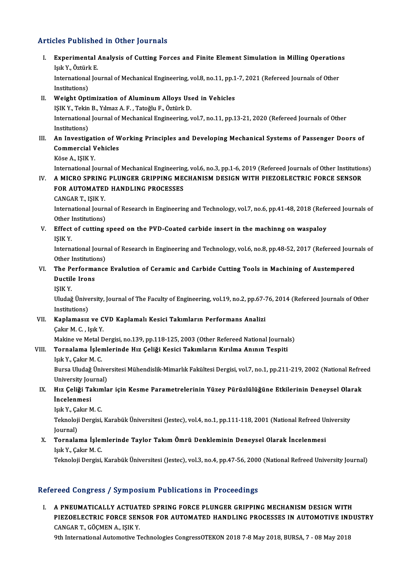## Articles Published in Other Journals

rticles Published in Other Journals<br>I. Experimental Analysis of Cutting Forces and Finite Element Simulation in Milling Operations<br>Jok Y. Östürk E Islam<br>Experimental<br>Işık Y., Öztürk E.<br>International Ior Experimental Analysis of Cutting Forces and Finite Element Simulation in Milling Operation<br>Işık Y., Öztürk E.<br>International Journal of Mechanical Engineering, vol.8, no.11, pp.1-7, 2021 (Refereed Journals of Other<br>Institut

Işık Y., Öztürl<br>International<br>Institutions)<br>Weight Onti International Journal of Mechanical Engineering, vol.8, no.11, pp.1<br>Institutions)<br>II. Weight Optimization of Aluminum Alloys Used in Vehicles<br>ISIK V. Tokin B. Vilman A. E. Tatačlu E. Ögtünk D.

# Institutions)<br>II. Weight Optimization of Aluminum Alloys Used in Vehicles<br>IŞIK Y., Tekin B., Yılmaz A. F. , Tatoğlu F., Öztürk D.

Wei<mark>ght Optimization of Aluminum Alloys Used in Vehicles</mark><br>IŞIK Y., Tekin B., Yılmaz A. F. , Tatoğlu F., Öztürk D.<br>International Journal of Mechanical Engineering, vol.7, no.11, pp.13-21, 2020 (Refereed Journals of Other<br>In IŞIK Y., Tekin<br>International<br>Institutions)<br>An Investig International Journal of Mechanical Engineering, vol.7, no.11, pp.13-21, 2020 (Refereed Journals of Other<br>Institutions)<br>III. An Investigation of Working Principles and Developing Mechanical Systems of Passenger Doors of<br>Co

# Institutions)<br>An Investigation of W<br>Commercial Vehicles<br><sup>Väso A</sup>, ISIV V An Investigati<br>Commercial V<br>Köse A., IŞIK Y.<br>International Ic

Commercial Vehicles<br>Köse A., IŞIK Y.<br>International Journal of Mechanical Engineering, vol.6, no.3, pp.1-6, 2019 (Refereed Journals of Other Institutions)<br>A. MICRO SPRING RIJINGER CRIPRING MECHANISM DESIGN WITH RIEZOELECTRI

# Köse A., IŞIK Y.<br>International Journal of Mechanical Engineering, vol.6, no.3, pp.1-6, 2019 (Refereed Journals of Other Institution<br>IV. A MICRO SPRING PLUNGER GRIPPING MECHANISM DESIGN WITH PIEZOELECTRIC FORCE SENSOR<br>F International Journal of Mechanical Engineering<br>A MICRO SPRING PLUNGER GRIPPING ME<br>FOR AUTOMATED HANDLING PROCESSES<br>CANGAR TUELK V IV. A MICRO SPRING PLUNGER GRIPPING MECHANISM DESIGN WITH PIEZOELECTRIC FORCE SENSOR FOR AUTOMATED HANDLING PROCESSES<br>CANGAR T., IŞIK Y.

FOR AUTOMATED HANDLING PROCESSES<br>CANGAR T., IŞIK Y.<br>International Journal of Research in Engineering and Technology, vol.7, no.6, pp.41-48, 2018 (Refereed Journals of<br>Other Institutions) CANGAR T., IŞIK Y.<br>International Journ<br>Other Institutions)<br>Effect of cutting International Journal of Research in Engineering and Technology, vol.7, no.6, pp.41-48, 2018 (Refe<br>Other Institutions)<br>V. Effect of cutting speed on the PVD-Coated carbide insert in the machinng on waspaloy<br>ISIK V

Other<br>**Effect**<br>IŞIK Y.<br>Interns Effect of cutting speed on the PVD-Coated carbide insert in the machinng on waspaloy<br>IŞIK Y.<br>International Journal of Research in Engineering and Technology, vol.6, no.8, pp.48-52, 2017 (Refereed Journals of

IŞIK Y.<br>International Journ<br>Other Institutions)<br>The Borformanes International Journal of Research in Engineering and Technology, vol.6, no.8, pp.48-52, 2017 (Refereed Journ<br>Other Institutions)<br>VI. The Performance Evalution of Ceramic and Carbide Cutting Tools in Machining of Austempere

# Other Institutio<br>The Performa<br>Ductile Irons<br>ISIV V The Pe<br>Ductil<br>IŞIK Y.<br>Illudağ

Ductile Irons<br>IŞIK Y.<br>Uludağ Üniversity, Journal of The Faculty of Engineering, vol.19, no.2, pp.67-76, 2014 (Refereed Journals of Other IŞIK Y.<br>Uludağ Ünive<br>Institutions)<br>Kanlamasız Uludağ Üniversity, Journal of The Faculty of Engineering, vol.19, no.2, pp.67-7<br>Institutions)<br>VII. Kaplamasız ve CVD Kaplamalı Kesici Takımların Performans Analizi<br>Celar M.C. Jak V

# Institutions)<br>Kaplamasız ve C<br>Çakır M. C. , Işık Y.<br>Makine ve Metal D Kaplamasız ve CVD Kaplamalı Kesici Takımların Performans Analizi<br>Çakır M. C. , Işık Y.<br>Makine ve Metal Dergisi, no.139, pp.118-125, 2003 (Other Refereed National Journals)<br>Tornalama İslamları'nda Hız Çaliği Kasisi Takımlar

# Çakır M. C. , Işık Y.<br>Makine ve Metal Dergisi, no.139, pp.118-125, 2003 (Other Refereed National Journal<br>VIII. Tornalama İşlemlerinde Hız Çeliği Kesici Takımların Kırılma Anının Tespiti<br>Işık Y., Cakır M. C. Makine ve Metal I<br><mark>Tornalama İşler</mark><br>Işık Y., Çakır M. C.<br><sup>Purso Uludoğ Üni</sup>

Tornalama İşlemlerinde Hız Çeliği Kesici Takımların Kırılma Anının Tespiti<br>Işık Y., Çakır M. C.<br>Bursa Uludağ Üniversitesi Mühendislik-Mimarlık Fakültesi Dergisi, vol.7, no.1, pp.211-219, 2002 (National Refreed<br>University J Işık Y., Çakır M. C.<br>Bursa Uludağ Ünive<br>University Journal)<br>Hız Coliği Tolamla Bursa Uludağ Üniversitesi Mühendislik-Mimarlık Fakültesi Dergisi, vol.7, no.1, pp.211-219, 2002 (National Refre<br>University Journal)<br>IX. Hız Çeliği Takımlar için Kesme Parametrelerinin Yüzey Pürüzlülüğüne Etkilerinin Deneys

# University Jou<br><mark>Hız Çeliği Ta</mark><br>İncelenmesi<br><sup>Lou</sup>t <sup>V. Colum</sub></sup> Hız Çeli<mark>ği Takım</mark><br>İncelenmesi<br>Işık Y., Çakır M. C.<br><sup>Tolmoloji Dergisi</sup>

Isik Y., Çakır M. C.

İncelenmesi<br>Işık Y., Çakır M. C.<br>Teknoloji Dergisi, Karabük Üniversitesi (Jestec), vol.4, no.1, pp.111-118, 2001 (National Refreed University<br>Journal) Teknoloji Dergisi, Karabük Üniversitesi (Jestec), vol.4, no.1, pp.111-118, 2001 (National Refreed Un<br>Journal)<br>X. Tornalama İşlemlerinde Taylor Takım Ömrü Denkleminin Deneysel Olarak İncelenmesi<br>Jour Y. Celar M. C.

# Journal)<br><mark>Tornalama İşleı</mark><br>Işık Y., Çakır M. C.<br>Telmalaji Dergisi

Işık Y., Çakır M. C.<br>Teknoloji Dergisi, Karabük Üniversitesi (Jestec), vol.3, no.4, pp.47-56, 2000 (National Refreed University Journal)

# Refereed Congress / Symposium Publications in Proceedings

Efereed Congress / Symposium Publications in Proceedings<br>I. A PNEUMATICALLY ACTUATED SPRING FORCE PLUNGER GRIPPING MECHANISM DESIGN WITH<br>RIEZOELECTRIC FORCE SENSOR FOR AUTOMATED HANDLING RROCESSES IN AUTOMOTIVE INDI POOR OORGPOOP , OJ RIPOORAM PRONOROMO IN PROCOGRINGS<br>A PNEUMATICALLY ACTUATED SPRING FORCE PLUNGER GRIPPING MECHANISM DESIGN WITH<br>PIEZOELECTRIC FORCE SENSOR FOR AUTOMATED HANDLING PROCESSES IN AUTOMOTIVE INDUSTRY<br>CANGAR T. A PNEUMATICALLY ACTUAT<br>PIEZOELECTRIC FORCE SEN<br>CANGAR T., GÖÇMEN A., IŞIK Y.<br><sup>Oth International Automative T</sup> PIEZOELECTRIC FORCE SENSOR FOR AUTOMATED HANDLING PROCESSES IN AUTOMOTIVE INE<br>CANGAR T., GÖÇMEN A., IŞIK Y.<br>9th International Automotive Technologies CongressOTEKON 2018 7-8 May 2018, BURSA, 7 - 08 May 2018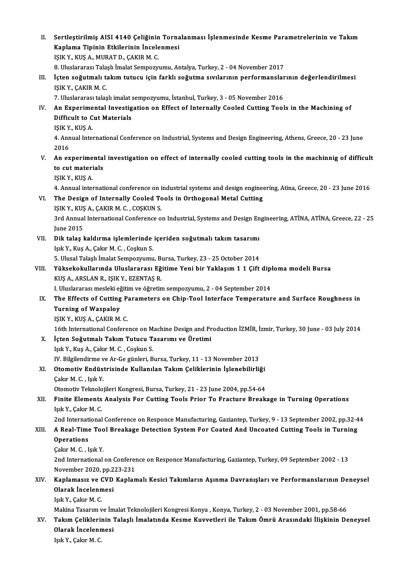II. Sertleştirilmiş AISI 4140 Çeliğinin Tornalanması İşlenmesinde Kesme Parametrelerinin ve Takım<br>Kanlama Tininin Etkilorinin İngelanması Sertleştirilmiş AISI 4140 Çeliğinin Torna<br>Kaplama Tipinin Etkilerinin İncelenmesi<br>ISIK V. KUS A MURATD GAKIRM G Sertleştirilmiş AISI 4140 Çeliğinin<br>Kaplama Tipinin Etkilerinin İncele<br>IŞIK Y., KUŞ A., MURAT D., ÇAKIR M. C.<br>8. Uluslararesı Talaslı İmalat Samnazır Kaplama Tipinin Etkilerinin İncelenmesi<br>IŞIK Y., KUŞ A., MURAT D., ÇAKIR M. C.<br>8. Uluslararası Talaşlı İmalat Sempozyumu, Antalya, Turkey, 2 - 04 November 2017<br>İstan çoğutmalı takım tutucu isin farklı çoğutma suylarının pe IŞIK Y., KUŞ A., MURAT D., ÇAKIR M. C.<br>8. Uluslararası Talaşlı İmalat Sempozyumu, Antalya, Turkey, 2 - 04 November 2017<br>III. İçten soğutmalı takım tutucu için farklı soğutma sıvılarının performanslarının değerlendirilmesi<br> 8. Uluslararası Tala<br>İçten soğutmalı ta<br>IŞIK Y., ÇAKIR M. C.<br>7. Uluslararası talas İçten soğutmalı takım tutucu için farklı soğutma sıvılarının performanslar<br>IŞIK Y., ÇAKIR M. C.<br>7. Uluslararası talaşlı imalat sempozyumu, İstanbul, Turkey, 3 - 05 November 2016<br>An Evnorimental Investigation on Effect of I IŞIK Y., ÇAKIR M. C.<br>7. Uluslararası talaşlı imalat sempozyumu, İstanbul, Turkey, 3 - 05 November 2016<br>IV. An Experimental Investigation on Effect of Internally Cooled Cutting Tools in the Machining of<br>Difficult to Cut 7. Uluslararası talaşlı imalat sempozyumu, İstanbul, Turkey, 3 - 05 November 2016<br>An Experimental Investigation on Effect of Internally Cooled Cutting Too<br>Difficult to Cut Materials<br>ISIK Y., KUS A. An Experime<br>Difficult to C<br>IŞIK Y., KUŞ A.<br>4. Annual Inte Difficult to Cut Materials<br>IŞIK Y., KUŞ A.<br>4. Annual International Conference on Industrial, Systems and Design Engineering, Athens, Greece, 20 - 23 June 1\$1K Y<br>4. Ann<br>2016 4. Annual International Conference on Industrial, Systems and Design Engineering, Athens, Greece, 20 - 23 June<br>2016<br>V. An experimental investigation on effect of internally cooled cutting tools in the machinnig of difficul 2016<br>An experimental<br>to cut materials<br>ISIM V VIIS A An experime<br>to cut materi<br>IŞIK Y., KUŞ A. to cut materials<br>1ŞIK Y., KUŞ A.<br>4. Annual international conference on industrial systems and design engineering, Atina, Greece, 20 - 23 June 2016 VI. The Design of Internally Cooled Tools in Orthogonal Metal Cutting 4. Annual international conference on i<br>The Design of Internally Cooled To<br>IŞIK Y., KUŞ A., ÇAKIR M. C. , COŞKUN S. 3rd Annual International Conference on Industrial, Systems and Design Engineering, ATİNA, ATİNA, Greece, 22 - 25<br>June 2015 IŞIK Y., KUŞ<br>3rd Annual<br>June 2015<br>Dik talas l 3rd Annual International Conference on Industrial, Systems and Design En<br>June 2015<br>VII. Dik talaş kaldırma işlemlerinde içeriden soğutmalı takım tasarımı<br>Jek Y. Kus A. Cakım M. G. Coskun S. June 2015<br><mark>Dik talaş kaldırma işlemlerinde</mark><br>Işık Y., Kuş A., Çakır M. C. , Coşkun S.<br>5. Ulusal Talaslı İmalat Semnezrayı Dik talaş kaldırma işlemlerinde içeriden soğutmalı takım tasarımı<br>Işık Y., Kuş A., Çakır M. C. , Coşkun S.<br>5. Ulusal Talaşlı İmalat Sempozyumu, Bursa, Turkey, 23 - 25 October 2014<br>Yüksekekullarında Hluslararesı Fğitime Yan Işık Y., Kuş A., Çakır M. C. , Coşkun S.<br>5. Ulusal Talaşlı İmalat Sempozyumu, Bursa, Turkey, 23 - 25 October 2014<br>VIII. Yüksekokullarında Uluslararası Eğitime Yeni bir Yaklaşım 1 1 Çift diploma modeli Bursa<br>VIIS A. ARS 5. Ulusal Talaşlı İmalat Sempozyumu, Bursa, Turkey, 23 - 25 October 2014<br>Yüksekokullarında Uluslararası Eğitime Yeni bir Yaklaşım 1 1 Çift dip<br>KUŞ A., ARSLAN R., IŞIK Y., EZENTAŞ R.<br>I. Uluslararası mesleki eğitim ve öğreti Yüksekokullarında Uluslararası Eğitime Yeni bir Yaklaşım 1 1 Çift dipi<br>KUŞ A., ARSLAN R., IŞIK Y., EZENTAŞ R.<br>I. Uluslararası mesleki eğitim ve öğretim sempozyumu, 2 - 04 September 2014<br>The Effects of Cutting Berematers en KUŞ A., ARSLAN R., IŞIK Y., EZENTAŞ R.<br>I. Uluslararası mesleki eğitim ve öğretim sempozyumu, 2 - 04 September 2014<br>IX. The Effects of Cutting Parameters on Chip-Tool Interface Temperature and Surface Roughness in<br>Tunni I. Uluslararası mesleki eğ<br>The Effects of Cutting<br>Turning of Waspaloy<br>ISIK V. KUS A. GAKIR M The Effects of Cutting P<br>Turning of Waspaloy<br>IŞIK Y., KUŞ A., ÇAKIR M. C.<br>16th International Confore Turning of Waspaloy<br>151K Y., KUŞ A., ÇAKIR M. C.<br>16th International Conference on Machine Design and Production İZMİR, İzmir, Turkey, 30 June - 03 July 2014 X. İçten Soğutmalı TakımTutucu Tasarımı ve Üretimi IşıkY.,KuşA.,ÇakırM.C. ,CoşkunS. İçten Soğutmalı Takım Tutucu Tasarımı ve Üretimi<br>Işık Y., Kuş A., Çakır M. C. , Coşkun S.<br>IV. Bilgilendirme ve Ar-Ge günleri, Bursa, Turkey, 11 - 13 November 2013<br>Otemetiy Endüstrisinde Kullenılan Takım Celiklerinin İslane Işık Y., Kuş A., Çakır M. C. , Coşkun S.<br>IV. Bilgilendirme ve Ar-Ge günleri, Bursa, Turkey, 11 - 13 November 2013<br>XI. Otomotiv Endüstrisinde Kullanılan Takım Çeliklerinin İşlenebilirliği<br>Celan M. C. Jay v IV. Bilgilendirme v<br><mark>Otomotiv Endüs</mark><br>Çakır M. C. , Işık Y.<br>Otomotiv Telmolo Otomotiv Endüstrisinde Kullanılan Takım Çeliklerinin İşlenebilirliği<br>Çakır M. C. , Işık Y.<br>Otomotiv Teknolojileri Kongresi, Bursa, Turkey, 21 - 23 June 2004, pp.54-64<br>Finite Elementa Analysis Fon Cutting Tools Prior To Fre Cakır M. C. , Işık Y.<br>Otomotiv Teknolojileri Kongresi, Bursa, Turkey, 21 - 23 June 2004, pp.54-64<br>XII. Finite Elements Analysis For Cutting Tools Prior To Fracture Breakage in Turning Operations Işık Y., Çakır M. C. Finite Elements Analysis For Cutting Tools Prior To Fracture Breakage in Turning Operations<br>Işık Y., Çakır M. C.<br>2nd International Conference on Responce Manufacturing, Gaziantep, Turkey, 9 - 13 September 2002, pp.32-44<br>A XIII. A Real-Time Tool Breakage Detection System For Coated And Uncoated Cutting Tools in Turning<br>Operations 2nd Internation<br>**A Real-Time<br>Operations**<br>Calur M.C., L ÇakırM.C. , IşıkY. 2nd InternationalonConference onResponceManufacturing,Gaziantep,Turkey,09 September 2002 -13 Cakır M. C. , Işık Y.<br>2nd International on Conferer<br>November 2020, pp.223-231<br>Kanlamaaız ve CVD Kanlan 2nd International on Conference on Responce Manufacturing, Gaziantep, Turkey, 09 September 2002 - 13<br>November 2020, pp.223-231<br>XIV. Kaplamasız ve CVD Kaplamalı Kesici Takımların Aşınma Davranışları ve Performanslarının November 2020, pp.2<br>Kaplamasız ve CVD<br>Olarak İncelenmesi<br><sup>Içık V.</sup> Calur M. C Kaplamasız ve (<br>Olarak İncelenn<br>Işık Y., Çakır M. C.<br>Makina Tacarım u Olarak İncelenmesi<br>Işık Y., Çakır M. C.<br>Makina Tasarım ve İmalat Teknolojileri Kongresi Konya , Konya, Turkey, 2 - 03 November 2001, pp.58-66<br>Tekum Celiklerinin Telesk İmalatında Kosma Kuyyatlari ile Tekum Ömrü Azasındaki Işık Y., Çakır M. C.<br>Makina Tasarım ve İmalat Teknolojileri Kongresi Konya , Konya, Turkey, 2 - 03 November 2001, pp.58-66<br>XV. Takım Çeliklerinin Talaşlı İmalatında Kesme Kuvvetleri ile Takım Ömrü Arasındaki İlişkinin Makina Tasarım ve İm<br><mark>Takım Çeliklerinin</mark><br>Olarak İncelenmesi<br><sup>Lolk V. Colur M. C</sup> Olarak İncelenmesi<br>Işık Y., Çakır M. C.